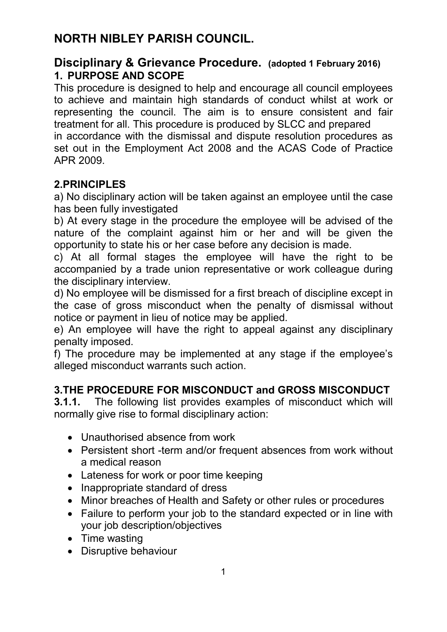# **NORTH NIBLEY PARISH COUNCIL.**

### **Disciplinary & Grievance Procedure. (adopted 1 February 2016) 1. PURPOSE AND SCOPE**

This procedure is designed to help and encourage all council employees to achieve and maintain high standards of conduct whilst at work or representing the council. The aim is to ensure consistent and fair treatment for all. This procedure is produced by SLCC and prepared in accordance with the dismissal and dispute resolution procedures as set out in the Employment Act 2008 and the ACAS Code of Practice APR 2009.

# **2.PRINCIPLES**

a) No disciplinary action will be taken against an employee until the case has been fully investigated

b) At every stage in the procedure the employee will be advised of the nature of the complaint against him or her and will be given the opportunity to state his or her case before any decision is made.

c) At all formal stages the employee will have the right to be accompanied by a trade union representative or work colleague during the disciplinary interview.

d) No employee will be dismissed for a first breach of discipline except in the case of gross misconduct when the penalty of dismissal without notice or payment in lieu of notice may be applied.

e) An employee will have the right to appeal against any disciplinary penalty imposed.

f) The procedure may be implemented at any stage if the employee's alleged misconduct warrants such action.

# **3.THE PROCEDURE FOR MISCONDUCT and GROSS MISCONDUCT**

**3.1.1.** The following list provides examples of misconduct which will normally give rise to formal disciplinary action:

- Unauthorised absence from work
- Persistent short -term and/or frequent absences from work without a medical reason
- Lateness for work or poor time keeping
- Inappropriate standard of dress
- Minor breaches of Health and Safety or other rules or procedures
- Failure to perform your job to the standard expected or in line with your job description/objectives
- Time wasting
- Disruptive behaviour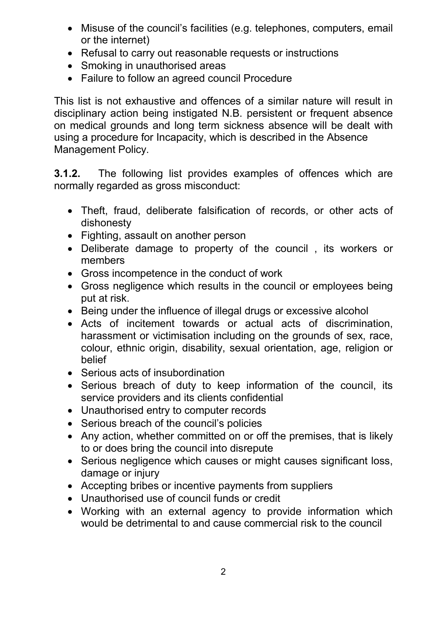- Misuse of the council's facilities (e.g. telephones, computers, email or the internet)
- Refusal to carry out reasonable requests or instructions
- Smoking in unauthorised areas
- Failure to follow an agreed council Procedure

This list is not exhaustive and offences of a similar nature will result in disciplinary action being instigated N.B. persistent or frequent absence on medical grounds and long term sickness absence will be dealt with using a procedure for Incapacity, which is described in the Absence Management Policy.

**3.1.2.** The following list provides examples of offences which are normally regarded as gross misconduct:

- Theft, fraud, deliberate falsification of records, or other acts of dishonesty
- Fighting, assault on another person
- Deliberate damage to property of the council , its workers or members
- Gross incompetence in the conduct of work
- Gross negligence which results in the council or employees being put at risk.
- Being under the influence of illegal drugs or excessive alcohol
- Acts of incitement towards or actual acts of discrimination, harassment or victimisation including on the grounds of sex, race, colour, ethnic origin, disability, sexual orientation, age, religion or belief
- Serious acts of insubordination
- Serious breach of duty to keep information of the council, its service providers and its clients confidential
- Unauthorised entry to computer records
- Serious breach of the council's policies
- Any action, whether committed on or off the premises, that is likely to or does bring the council into disrepute
- Serious negligence which causes or might causes significant loss, damage or injury
- Accepting bribes or incentive payments from suppliers
- Unauthorised use of council funds or credit
- Working with an external agency to provide information which would be detrimental to and cause commercial risk to the council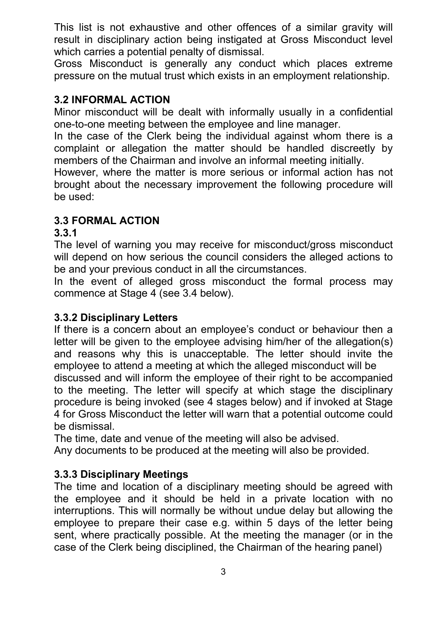This list is not exhaustive and other offences of a similar gravity will result in disciplinary action being instigated at Gross Misconduct level which carries a potential penalty of dismissal.

Gross Misconduct is generally any conduct which places extreme pressure on the mutual trust which exists in an employment relationship.

### **3.2 INFORMAL ACTION**

Minor misconduct will be dealt with informally usually in a confidential one-to-one meeting between the employee and line manager.

In the case of the Clerk being the individual against whom there is a complaint or allegation the matter should be handled discreetly by members of the Chairman and involve an informal meeting initially.

However, where the matter is more serious or informal action has not brought about the necessary improvement the following procedure will be used:

### **3.3 FORMAL ACTION**

#### **3.3.1**

The level of warning you may receive for misconduct/gross misconduct will depend on how serious the council considers the alleged actions to be and your previous conduct in all the circumstances.

In the event of alleged gross misconduct the formal process may commence at Stage 4 (see 3.4 below).

#### **3.3.2 Disciplinary Letters**

If there is a concern about an employee's conduct or behaviour then a letter will be given to the employee advising him/her of the allegation(s) and reasons why this is unacceptable. The letter should invite the employee to attend a meeting at which the alleged misconduct will be

discussed and will inform the employee of their right to be accompanied to the meeting. The letter will specify at which stage the disciplinary procedure is being invoked (see 4 stages below) and if invoked at Stage 4 for Gross Misconduct the letter will warn that a potential outcome could be dismissal.

The time, date and venue of the meeting will also be advised.

Any documents to be produced at the meeting will also be provided.

### **3.3.3 Disciplinary Meetings**

The time and location of a disciplinary meeting should be agreed with the employee and it should be held in a private location with no interruptions. This will normally be without undue delay but allowing the employee to prepare their case e.g. within 5 days of the letter being sent, where practically possible. At the meeting the manager (or in the case of the Clerk being disciplined, the Chairman of the hearing panel)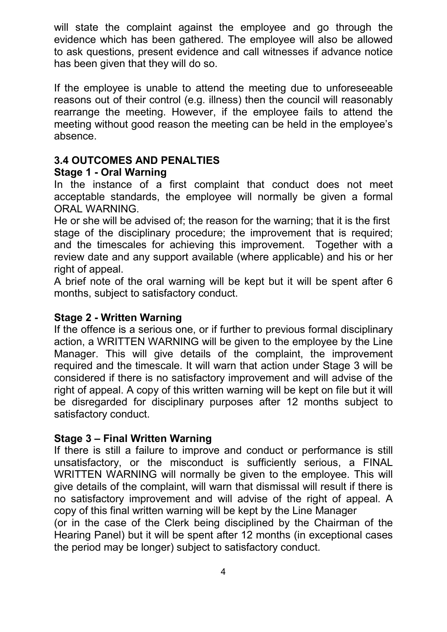will state the complaint against the employee and go through the evidence which has been gathered. The employee will also be allowed to ask questions, present evidence and call witnesses if advance notice has been given that they will do so.

If the employee is unable to attend the meeting due to unforeseeable reasons out of their control (e.g. illness) then the council will reasonably rearrange the meeting. However, if the employee fails to attend the meeting without good reason the meeting can be held in the employee's absence.

#### **3.4 OUTCOMES AND PENALTIES**

#### **Stage 1 - Oral Warning**

In the instance of a first complaint that conduct does not meet acceptable standards, the employee will normally be given a formal ORAL WARNING.

He or she will be advised of; the reason for the warning; that it is the first stage of the disciplinary procedure; the improvement that is required; and the timescales for achieving this improvement. Together with a review date and any support available (where applicable) and his or her right of appeal.

A brief note of the oral warning will be kept but it will be spent after 6 months, subject to satisfactory conduct.

#### **Stage 2 - Written Warning**

If the offence is a serious one, or if further to previous formal disciplinary action, a WRITTEN WARNING will be given to the employee by the Line Manager. This will give details of the complaint, the improvement required and the timescale. It will warn that action under Stage 3 will be considered if there is no satisfactory improvement and will advise of the right of appeal. A copy of this written warning will be kept on file but it will be disregarded for disciplinary purposes after 12 months subject to satisfactory conduct.

#### **Stage 3 – Final Written Warning**

If there is still a failure to improve and conduct or performance is still unsatisfactory, or the misconduct is sufficiently serious, a FINAL WRITTEN WARNING will normally be given to the employee. This will give details of the complaint, will warn that dismissal will result if there is no satisfactory improvement and will advise of the right of appeal. A copy of this final written warning will be kept by the Line Manager

(or in the case of the Clerk being disciplined by the Chairman of the Hearing Panel) but it will be spent after 12 months (in exceptional cases the period may be longer) subject to satisfactory conduct.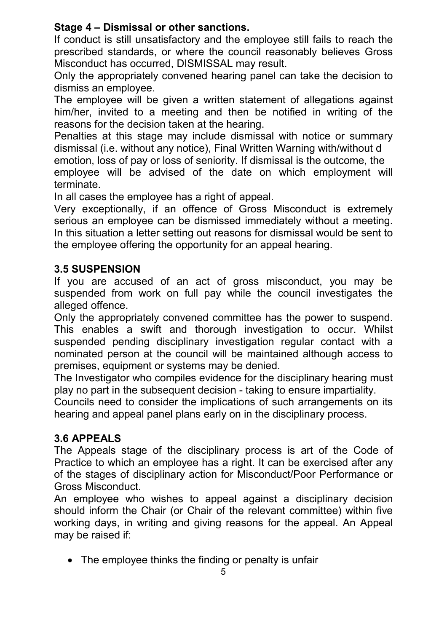# **Stage 4 – Dismissal or other sanctions.**

If conduct is still unsatisfactory and the employee still fails to reach the prescribed standards, or where the council reasonably believes Gross Misconduct has occurred, DISMISSAL may result.

Only the appropriately convened hearing panel can take the decision to dismiss an employee.

The employee will be given a written statement of allegations against him/her, invited to a meeting and then be notified in writing of the reasons for the decision taken at the hearing.

Penalties at this stage may include dismissal with notice or summary dismissal (i.e. without any notice), Final Written Warning with/without d

emotion, loss of pay or loss of seniority. If dismissal is the outcome, the employee will be advised of the date on which employment will terminate.

In all cases the employee has a right of appeal.

Very exceptionally, if an offence of Gross Misconduct is extremely serious an employee can be dismissed immediately without a meeting. In this situation a letter setting out reasons for dismissal would be sent to the employee offering the opportunity for an appeal hearing.

# **3.5 SUSPENSION**

If you are accused of an act of gross misconduct, you may be suspended from work on full pay while the council investigates the alleged offence.

Only the appropriately convened committee has the power to suspend. This enables a swift and thorough investigation to occur. Whilst suspended pending disciplinary investigation regular contact with a nominated person at the council will be maintained although access to premises, equipment or systems may be denied.

The Investigator who compiles evidence for the disciplinary hearing must play no part in the subsequent decision - taking to ensure impartiality.

Councils need to consider the implications of such arrangements on its hearing and appeal panel plans early on in the disciplinary process.

### **3.6 APPEALS**

The Appeals stage of the disciplinary process is art of the Code of Practice to which an employee has a right. It can be exercised after any of the stages of disciplinary action for Misconduct/Poor Performance or Gross Misconduct.

An employee who wishes to appeal against a disciplinary decision should inform the Chair (or Chair of the relevant committee) within five working days, in writing and giving reasons for the appeal. An Appeal may be raised if:

• The employee thinks the finding or penalty is unfair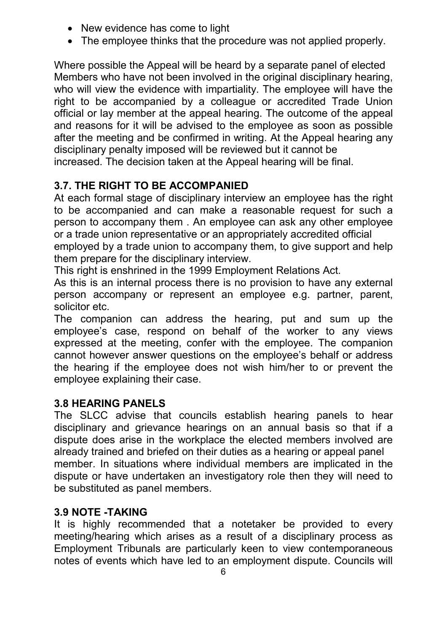- New evidence has come to light
- The employee thinks that the procedure was not applied properly.

Where possible the Appeal will be heard by a separate panel of elected Members who have not been involved in the original disciplinary hearing, who will view the evidence with impartiality. The employee will have the right to be accompanied by a colleague or accredited Trade Union official or lay member at the appeal hearing. The outcome of the appeal and reasons for it will be advised to the employee as soon as possible after the meeting and be confirmed in writing. At the Appeal hearing any disciplinary penalty imposed will be reviewed but it cannot be increased. The decision taken at the Appeal hearing will be final.

# **3.7. THE RIGHT TO BE ACCOMPANIED**

At each formal stage of disciplinary interview an employee has the right to be accompanied and can make a reasonable request for such a person to accompany them . An employee can ask any other employee or a trade union representative or an appropriately accredited official

employed by a trade union to accompany them, to give support and help them prepare for the disciplinary interview.

This right is enshrined in the 1999 Employment Relations Act.

As this is an internal process there is no provision to have any external person accompany or represent an employee e.g. partner, parent, solicitor etc.

The companion can address the hearing, put and sum up the employee's case, respond on behalf of the worker to any views expressed at the meeting, confer with the employee. The companion cannot however answer questions on the employee's behalf or address the hearing if the employee does not wish him/her to or prevent the employee explaining their case.

#### **3.8 HEARING PANELS**

The SLCC advise that councils establish hearing panels to hear disciplinary and grievance hearings on an annual basis so that if a dispute does arise in the workplace the elected members involved are already trained and briefed on their duties as a hearing or appeal panel member. In situations where individual members are implicated in the dispute or have undertaken an investigatory role then they will need to be substituted as panel members.

### **3.9 NOTE -TAKING**

It is highly recommended that a notetaker be provided to every meeting/hearing which arises as a result of a disciplinary process as Employment Tribunals are particularly keen to view contemporaneous notes of events which have led to an employment dispute. Councils will